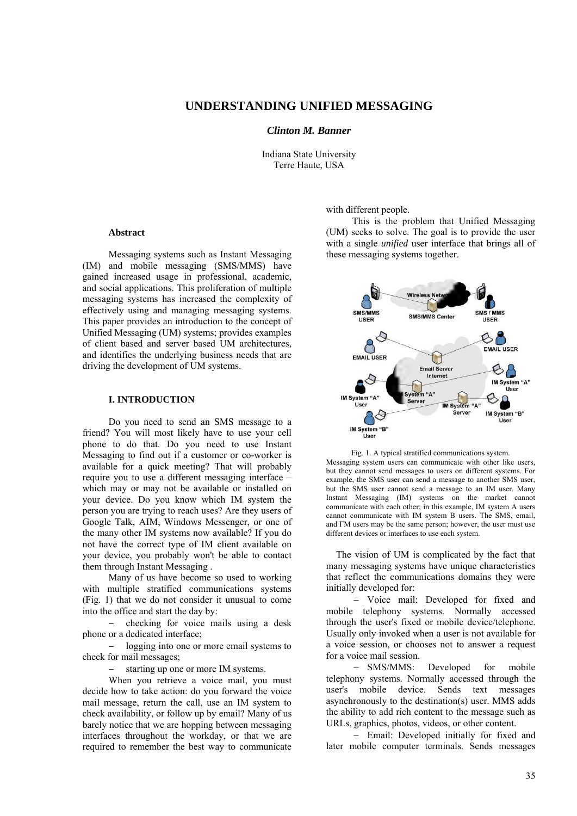### **UNDERSTANDING UNIFIED MESSAGING**

*Clinton M. Banner* 

Indiana State University Terre Haute, USA

**Abstract** 

Messaging systems such as Instant Messaging (IM) and mobile messaging (SMS/MMS) have gained increased usage in professional, academic, and social applications. This proliferation of multiple messaging systems has increased the complexity of effectively using and managing messaging systems. This paper provides an introduction to the concept of Unified Messaging (UM) systems; provides examples of client based and server based UM architectures, and identifies the underlying business needs that are driving the development of UM systems.

#### **I. INTRODUCTION**

Do you need to send an SMS message to a friend? You will most likely have to use your cell phone to do that. Do you need to use Instant Messaging to find out if a customer or co-worker is available for a quick meeting? That will probably require you to use a different messaging interface – which may or may not be available or installed on your device. Do you know which IM system the person you are trying to reach uses? Are they users of Google Talk, AIM, Windows Messenger, or one of the many other IM systems now available? If you do not have the correct type of IM client available on your device, you probably won't be able to contact them through Instant Messaging .

Many of us have become so used to working with multiple stratified communications systems (Fig. 1) that we do not consider it unusual to come into the office and start the day by:

− checking for voice mails using a desk phone or a dedicated interface;

logging into one or more email systems to check for mail messages;

starting up one or more IM systems.

When you retrieve a voice mail, you must decide how to take action: do you forward the voice mail message, return the call, use an IM system to check availability, or follow up by email? Many of us barely notice that we are hopping between messaging interfaces throughout the workday, or that we are required to remember the best way to communicate

with different people.

This is the problem that Unified Messaging (UM) seeks to solve. The goal is to provide the user with a single *unified* user interface that brings all of these messaging systems together.



Fig. 1. A typical stratified communications system. Messaging system users can communicate with other like users, but they cannot send messages to users on different systems. For example, the SMS user can send a message to another SMS user, but the SMS user cannot send a message to an IM user. Many Instant Messaging (IM) systems on the market cannot communicate with each other; in this example, IM system A users cannot communicate with IM system В users. The SMS, email, and ГМ users may be the same person; however, the user must use different devices or interfaces to use each system.

The vision of UM is complicated by the fact that many messaging systems have unique characteristics that reflect the communications domains they were initially developed for:

− Voice mail: Developed for fixed and mobile telephony systems. Normally accessed through the user's fixed or mobile device/telephone. Usually only invoked when a user is not available for a voice session, or chooses not to answer a request for a voice mail session.

− SMS/MMS: Developed for mobile telephony systems. Normally accessed through the user's mobile device. Sends text messages asynchronously to the destination(s) user. MMS adds the ability to add rich content to the message such as URLs, graphics, photos, videos, or other content.

− Email: Developed initially for fixed and later mobile computer terminals. Sends messages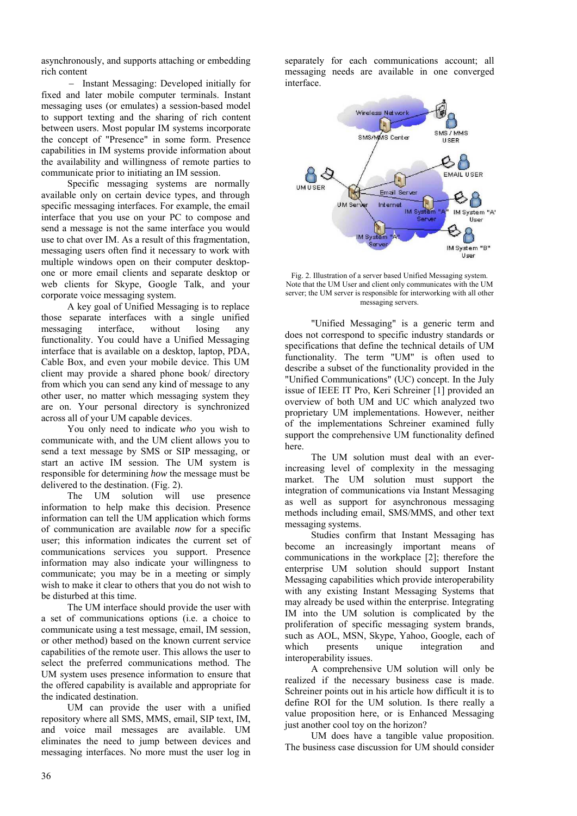asynchronously, and supports attaching or embedding rich content

− Instant Messaging: Developed initially for fixed and later mobile computer terminals. Instant messaging uses (or emulates) a session-based model to support texting and the sharing of rich content between users. Most popular IM systems incorporate the concept of "Presence" in some form. Presence capabilities in IM systems provide information about the availability and willingness of remote parties to communicate prior to initiating an IM session.

Specific messaging systems are normally available only on certain device types, and through specific messaging interfaces. For example, the email interface that you use on your PC to compose and send a message is not the same interface you would use to chat over IM. As a result of this fragmentation, messaging users often find it necessary to work with multiple windows open on their computer desktopone or more email clients and separate desktop or web clients for Skype, Google Talk, and your corporate voice messaging system.

A key goal of Unified Messaging is to replace those separate interfaces with a single unified messaging interface, without losing any functionality. You could have a Unified Messaging interface that is available on a desktop, laptop, PDA, Cable Box, and even your mobile device. This UM client may provide a shared phone book/ directory from which you can send any kind of message to any other user, no matter which messaging system they are on. Your personal directory is synchronized across all of your UM capable devices.

You only need to indicate *who* you wish to communicate with, and the UM client allows you to send a text message by SMS or SIP messaging, or start an active IM session. The UM system is responsible for determining *how* the message must be delivered to the destination. (Fig. 2).

The UM solution will use presence information to help make this decision. Presence information can tell the UM application which forms of communication are available *now* for a specific user; this information indicates the current set of communications services you support. Presence information may also indicate your willingness to communicate; you may be in a meeting or simply wish to make it clear to others that you do not wish to be disturbed at this time.

The UM interface should provide the user with a set of communications options (i.e. a choice to communicate using a test message, email, IM session, or other method) based on the known current service capabilities of the remote user. This allows the user to select the preferred communications method. The UM system uses presence information to ensure that the offered capability is available and appropriate for the indicated destination.

UM can provide the user with a unified repository where all SMS, MMS, email, SIP text, IM, and voice mail messages are available. UM eliminates the need to jump between devices and messaging interfaces. No more must the user log in

separately for each communications account; all messaging needs are available in one converged interface.



Fig. 2. Illustration of a server based Unified Messaging system. Note that the UM User and client only communicates with the UM server; the UM server is responsible for interworking with all other messaging servers.

"Unified Messaging" is a generic term and does not correspond to specific industry standards or specifications that define the technical details of UM functionality. The term "UM" is often used to describe a subset of the functionality provided in the "Unified Communications" (UC) concept. In the July issue of IEEE IT Pro, Keri Schreiner [1] provided an overview of both UM and UC which analyzed two proprietary UM implementations. However, neither of the implementations Schreiner examined fully support the comprehensive UM functionality defined here.

The UM solution must deal with an everincreasing level of complexity in the messaging market. The UM solution must support the integration of communications via Instant Messaging as well as support for asynchronous messaging methods including email, SMS/MMS, and other text messaging systems.

Studies confirm that Instant Messaging has become an increasingly important means of communications in the workplace [2]; therefore the enterprise UM solution should support Instant Messaging capabilities which provide interoperability with any existing Instant Messaging Systems that may already be used within the enterprise. Integrating IM into the UM solution is complicated by the proliferation of specific messaging system brands, such as AOL, MSN, Skype, Yahoo, Google, each of which presents unique integration and interoperability issues.

A comprehensive UM solution will only be realized if the necessary business case is made. Schreiner points out in his article how difficult it is to define ROI for the UM solution. Is there really a value proposition here, or is Enhanced Messaging just another cool toy on the horizon?

UM does have a tangible value proposition. The business case discussion for UM should consider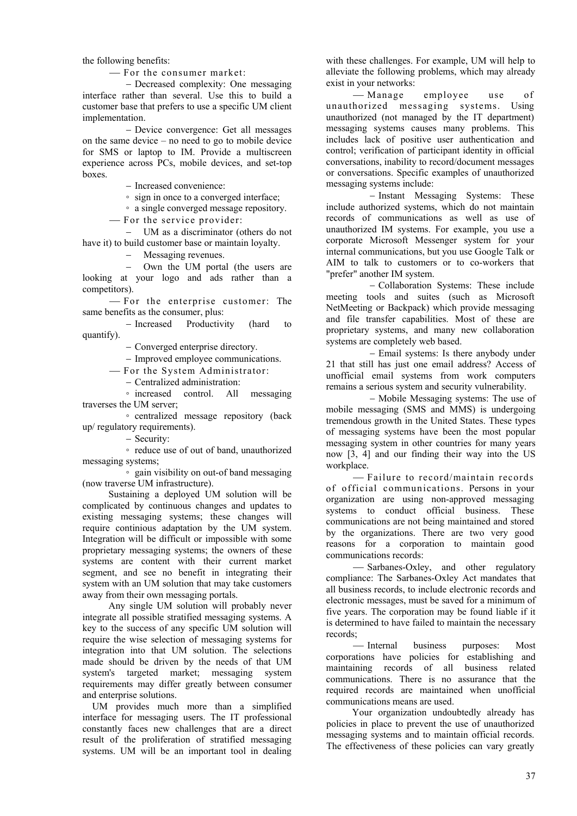the following benefits:

- For the consumer market:

− Decreased complexity: One messaging interface rather than several. Use this to build a customer base that prefers to use a specific UM client implementation.

− Device convergence: Get all messages on the same device – no need to go to mobile device for SMS or laptop to IM. Provide a multiscreen experience across PCs, mobile devices, and set-top boxes.

− Increased convenience:

◦ sign in once to a converged interface;

◦ a single converged message repository.

- For the service provider:

− UM as a discriminator (others do not have it) to build customer base or maintain loyalty.

− Messaging revenues.

− Own the UM portal (the users are looking at your logo and ads rather than a competitors).

⎯ For the enterprise customer: The same benefits as the consumer, plus:

− Increased Productivity (hard to quantify).

− Converged enterprise directory.

− Improved employee communications.

⎯ For the System Administrator:

− Centralized administration:

◦ increased control. All messaging traverses the UM server;

◦ centralized message repository (back up/ regulatory requirements).

− Security:

◦ reduce use of out of band, unauthorized messaging systems;

◦ gain visibility on out-of band messaging (now traverse UM infrastructure).

Sustaining a deployed UM solution will be complicated by continuous changes and updates to existing messaging systems; these changes will require continious adaptation by the UM system. Integration will be difficult or impossible with some proprietary messaging systems; the owners of these systems are content with their current market segment, and see no benefit in integrating their system with an UM solution that may take customers away from their own messaging portals.

Any single UM solution will probably never integrate all possible stratified messaging systems. A key to the success of any specific UM solution will require the wise selection of messaging systems for integration into that UM solution. The selections made should be driven by the needs of that UM system's targeted market; messaging system requirements may differ greatly between consumer and enterprise solutions.

UM provides much more than a simplified interface for messaging users. The IT professional constantly faces new challenges that are a direct result of the proliferation of stratified messaging systems. UM will be an important tool in dealing

with these challenges. For example, UM will help to alleviate the following problems, which may already exist in your networks:

- Manage employee use of unauthorized messaging systems. Using unauthorized (not managed by the IT department) messaging systems causes many problems. This includes lack of positive user authentication and control; verification of participant identity in official conversations, inability to record/document messages or conversations. Specific examples of unauthorized messaging systems include:

− Instant Messaging Systems: These include authorized systems, which do not maintain records of communications as well as use of unauthorized IM systems. For example, you use a corporate Microsoft Messenger system for your internal communications, but you use Google Talk or AIM to talk to customers or to co-workers that "prefer" another IM system.

− Collaboration Systems: These include meeting tools and suites (such as Microsoft NetMeeting or Backpack) which provide messaging and file transfer capabilities. Most of these are proprietary systems, and many new collaboration systems are completely web based.

− Email systems: Is there anybody under 21 that still has just one email address? Access of unofficial email systems from work computers remains a serious system and security vulnerability.

− Mobile Messaging systems: The use of mobile messaging (SMS and MMS) is undergoing tremendous growth in the United States. These types of messaging systems have been the most popular messaging system in other countries for many years now [3, 4] and our finding their way into the US workplace.

- Failure to record/maintain records of official communications. Persons in your organization are using non-approved messaging systems to conduct official business. These communications are not being maintained and stored by the organizations. There are two very good reasons for a corporation to maintain good communications records:

- Sarbanes-Oxley, and other regulatory compliance: The Sarbanes-Oxley Act mandates that all business records, to include electronic records and electronic messages, must be saved for a minimum of five years. The corporation may be found liable if it is determined to have failed to maintain the necessary records;

⎯ Internal business purposes: Most corporations have policies for establishing and maintaining records of all business related communications. There is no assurance that the required records are maintained when unofficial communications means are used.

Your organization undoubtedly already has policies in place to prevent the use of unauthorized messaging systems and to maintain official records. The effectiveness of these policies can vary greatly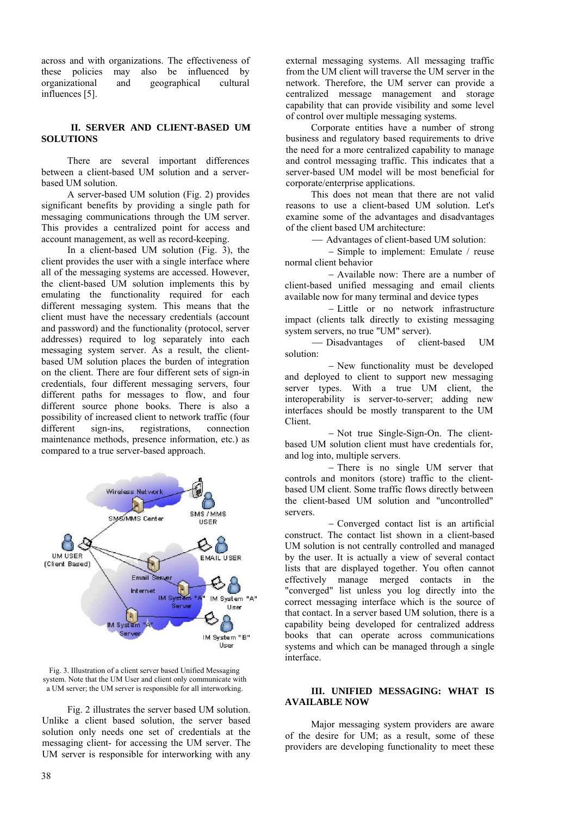across and with organizations. The effectiveness of these policies may also be influenced by may also be influenced by organizational and geographical cultural influences [5].

#### **II. SERVER AND CLIENT-BASED UM SOLUTIONS**

There are several important differences between a client-based UM solution and a serverbased UM solution.

A server-based UM solution (Fig. 2) provides significant benefits by providing a single path for messaging communications through the UM server. This provides a centralized point for access and account management, as well as record-keeping.

In a client-based UM solution (Fig. 3), the client provides the user with a single interface where all of the messaging systems are accessed. However, the client-based UM solution implements this by emulating the functionality required for each different messaging system. This means that the client must have the necessary credentials (account and password) and the functionality (protocol, server addresses) required to log separately into each messaging system server. As a result, the clientbased UM solution places the burden of integration on the client. There are four different sets of sign-in credentials, four different messaging servers, four different paths for messages to flow, and four different source phone books. There is also a possibility of increased client to network traffic (four different sign-ins, registrations, connection maintenance methods, presence information, etc.) as compared to a true server-based approach.





Fig. 2 illustrates the server based UM solution. Unlike a client based solution, the server based solution only needs one set of credentials at the messaging client- for accessing the UM server. The UM server is responsible for interworking with any

external messaging systems. All messaging traffic from the UM client will traverse the UM server in the network. Therefore, the UM server can provide a centralized message management and storage capability that can provide visibility and some level of control over multiple messaging systems.

Corporate entities have a number of strong business and regulatory based requirements to drive the need for a more centralized capability to manage and control messaging traffic. This indicates that a server-based UM model will be most beneficial for corporate/enterprise applications.

This does not mean that there are not valid reasons to use a client-based UM solution. Let's examine some of the advantages and disadvantages of the client based UM architecture:

⎯ Advantages of client-based UM solution:

− Simple to implement: Emulate / reuse normal client behavior

− Available now: There are a number of client-based unified messaging and email clients available now for many terminal and device types

− Little or no network infrastructure impact (clients talk directly to existing messaging system servers, no true "UM" server).

⎯ Disadvantages of client-based UM solution:

− New functionality must be developed and deployed to client to support new messaging server types. With a true UM client, the interoperability is server-to-server; adding new interfaces should be mostly transparent to the UM Client.

− Not true Single-Sign-On. The clientbased UM solution client must have credentials for, and log into, multiple servers.

− There is no single UM server that controls and monitors (store) traffic to the clientbased UM client. Some traffic flows directly between the client-based UM solution and "uncontrolled" servers.

− Converged contact list is an artificial construct. The contact list shown in a client-based UM solution is not centrally controlled and managed by the user. It is actually a view of several contact lists that are displayed together. You often cannot effectively manage merged contacts in the "converged" list unless you log directly into the correct messaging interface which is the source of that contact. In a server based UM solution, there is a capability being developed for centralized address books that can operate across communications systems and which can be managed through a single interface.

#### **III. UNIFIED MESSAGING: WHAT IS AVAILABLE NOW**

Major messaging system providers are aware of the desire for UM; as a result, some of these providers are developing functionality to meet these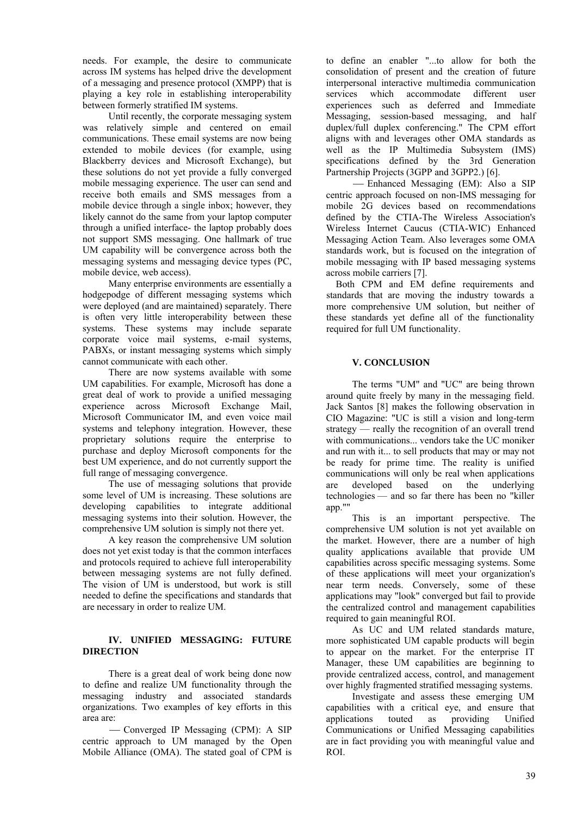needs. For example, the desire to communicate across IM systems has helped drive the development of a messaging and presence protocol (XMPP) that is playing a key role in establishing interoperability between formerly stratified IM systems.

Until recently, the corporate messaging system was relatively simple and centered on email communications. These email systems are now being extended to mobile devices (for example, using Blackberry devices and Microsoft Exchange), but these solutions do not yet provide a fully converged mobile messaging experience. The user can send and receive both emails and SMS messages from a mobile device through a single inbox; however, they likely cannot do the same from your laptop computer through a unified interface- the laptop probably does not support SMS messaging. One hallmark of true UM capability will be convergence across both the messaging systems and messaging device types (PC, mobile device, web access).

Many enterprise environments are essentially a hodgepodge of different messaging systems which were deployed (and are maintained) separately. There is often very little interoperability between these systems. These systems may include separate corporate voice mail systems, e-mail systems, PABXs, or instant messaging systems which simply cannot communicate with each other.

There are now systems available with some UM capabilities. For example, Microsoft has done a great deal of work to provide a unified messaging experience across Microsoft Exchange Mail, Microsoft Communicator IM, and even voice mail systems and telephony integration. However, these proprietary solutions require the enterprise to purchase and deploy Microsoft components for the best UM experience, and do not currently support the full range of messaging convergence.

The use of messaging solutions that provide some level of UM is increasing. These solutions are developing capabilities to integrate additional messaging systems into their solution. However, the comprehensive UM solution is simply not there yet.

A key reason the comprehensive UM solution does not yet exist today is that the common interfaces and protocols required to achieve full interoperability between messaging systems are not fully defined. The vision of UM is understood, but work is still needed to define the specifications and standards that are necessary in order to realize UM.

## **IV. UNIFIED MESSAGING: FUTURE DIRECTION**

There is a great deal of work being done now to define and realize UM functionality through the messaging industry and associated standards organizations. Two examples of key efforts in this area are:

- Converged IP Messaging (CPM): A SIP centric approach to UM managed by the Open Mobile Alliance (ОМА). The stated goal of CPM is

to define an enabler "...to allow for both the consolidation of present and the creation of future interpersonal interactive multimedia communication services which accommodate different user experiences such as deferred and Immediate Messaging, session-based messaging, and half duplex/full duplex conferencing." The CPM effort aligns with and leverages other ОМА standards as well as the IP Multimedia Subsystem (IMS) specifications defined by the 3rd Generation Partnership Projects (3GPP and 3GPP2.) [6].

- Enhanced Messaging (EM): Also a SIP centric approach focused on non-IMS messaging for mobile 2G devices based on recommendations defined by the CTIA-The Wireless Association's Wireless Internet Caucus (CTIA-WIC) Enhanced Messaging Action Team. Also leverages some ОМА standards work, but is focused on the integration of mobile messaging with IP based messaging systems across mobile carriers [7].

Both CPM and EM define requirements and standards that are moving the industry towards a more comprehensive UM solution, but neither of these standards yet define all of the functionality required for full UM functionality.

# **V. CONCLUSION**

The terms "UM" and "UC" are being thrown around quite freely by many in the messaging field. Jack Santos [8] makes the following observation in CIO Magazine: "UC is still a vision and long-term strategy — really the recognition of an overall trend with communications... vendors take the UC moniker and run with it... to sell products that may or may not be ready for prime time. The reality is unified communications will only be real when applications are developed based on the underlying technologies — and so far there has been no "killer app.""

This is an important perspective. The comprehensive UM solution is not yet available on the market. However, there are a number of high quality applications available that provide UM capabilities across specific messaging systems. Some of these applications will meet your organization's near term needs. Conversely, some of these applications may "look" converged but fail to provide the centralized control and management capabilities required to gain meaningful ROI.

As UC and UM related standards mature, more sophisticated UM capable products will begin to appear on the market. For the enterprise IT Manager, these UM capabilities are beginning to provide centralized access, control, and management over highly fragmented stratified messaging systems.

Investigate and assess these emerging UM capabilities with a critical eye, and ensure that applications touted as providing Unified Communications or Unified Messaging capabilities are in fact providing you with meaningful value and ROI.